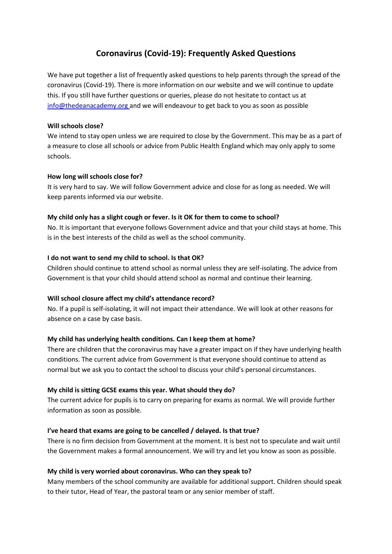# **Coronavirus (Covid-19): Frequently Asked Questions**

We have put together a list of frequently asked questions to help parents through the spread of the coronavirus (Covid-19). There is more information on our website and we will continue to update this. If you still have further questions or queries, please do not hesitate to contact us at [info@thedeanacademy.org](mailto:admin@whtc.co.uk) and we will endeavour to get back to you as soon as possible

#### **Will schools close?**

We intend to stay open unless we are required to close by the Government. This may be as a part of a measure to close all schools or advice from Public Health England which may only apply to some schools.

#### **How long will schools close for?**

It is very hard to say. We will follow Government advice and close for as long as needed. We will keep parents informed via our website.

#### **My child only has a slight cough or fever. Is it OK for them to come to school?**

No. It is important that everyone follows Government advice and that your child stays at home. This is in the best interests of the child as well as the school community.

#### **I do not want to send my child to school. Is that OK?**

Children should continue to attend school as normal unless they are self-isolating. The advice from Government is that your child should attend school as normal and continue their learning.

#### **Will school closure affect my child's attendance record?**

No. If a pupil is self-isolating, it will not impact their attendance. We will look at other reasons for absence on a case by case basis.

# **My child has underlying health conditions. Can I keep them at home?**

There are children that the coronavirus may have a greater impact on if they have underlying health conditions. The current advice from Government is that everyone should continue to attend as normal but we ask you to contact the school to discuss your child's personal circumstances.

# **My child is sitting GCSE exams this year. What should they do?**

The current advice for pupils is to carry on preparing for exams as normal. We will provide further information as soon as possible.

# **I've heard that exams are going to be cancelled / delayed. Is that true?**

There is no firm decision from Government at the moment. It is best not to speculate and wait until the Government makes a formal announcement. We will try and let you know as soon as possible.

# **My child is very worried about coronavirus. Who can they speak to?**

Many members of the school community are available for additional support. Children should speak to their tutor, Head of Year, the pastoral team or any senior member of staff.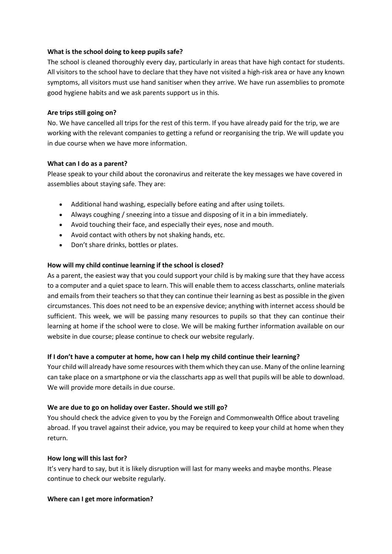#### **What is the school doing to keep pupils safe?**

The school is cleaned thoroughly every day, particularly in areas that have high contact for students. All visitors to the school have to declare that they have not visited a high-risk area or have any known symptoms, all visitors must use hand sanitiser when they arrive. We have run assemblies to promote good hygiene habits and we ask parents support us in this.

#### **Are trips still going on?**

No. We have cancelled all trips for the rest of this term. If you have already paid for the trip, we are working with the relevant companies to getting a refund or reorganising the trip. We will update you in due course when we have more information.

#### **What can I do as a parent?**

Please speak to your child about the coronavirus and reiterate the key messages we have covered in assemblies about staying safe. They are:

- Additional hand washing, especially before eating and after using toilets.
- Always coughing / sneezing into a tissue and disposing of it in a bin immediately.
- Avoid touching their face, and especially their eyes, nose and mouth.
- Avoid contact with others by not shaking hands, etc.
- Don't share drinks, bottles or plates.

# **How will my child continue learning if the school is closed?**

As a parent, the easiest way that you could support your child is by making sure that they have access to a computer and a quiet space to learn. This will enable them to access classcharts, online materials and emails from their teachers so that they can continue their learning as best as possible in the given circumstances. This does not need to be an expensive device; anything with internet access should be sufficient. This week, we will be passing many resources to pupils so that they can continue their learning at home if the school were to close. We will be making further information available on our website in due course; please continue to check our website regularly.

# **If I don't have a computer at home, how can I help my child continue their learning?**

Your child will already have some resources with them which they can use. Many of the online learning can take place on a smartphone or via the classcharts app as well that pupils will be able to download. We will provide more details in due course.

# **We are due to go on holiday over Easter. Should we still go?**

You should check the advice given to you by the Foreign and Commonwealth Office about traveling abroad. If you travel against their advice, you may be required to keep your child at home when they return.

# **How long will this last for?**

It's very hard to say, but it is likely disruption will last for many weeks and maybe months. Please continue to check our website regularly.

#### **Where can I get more information?**